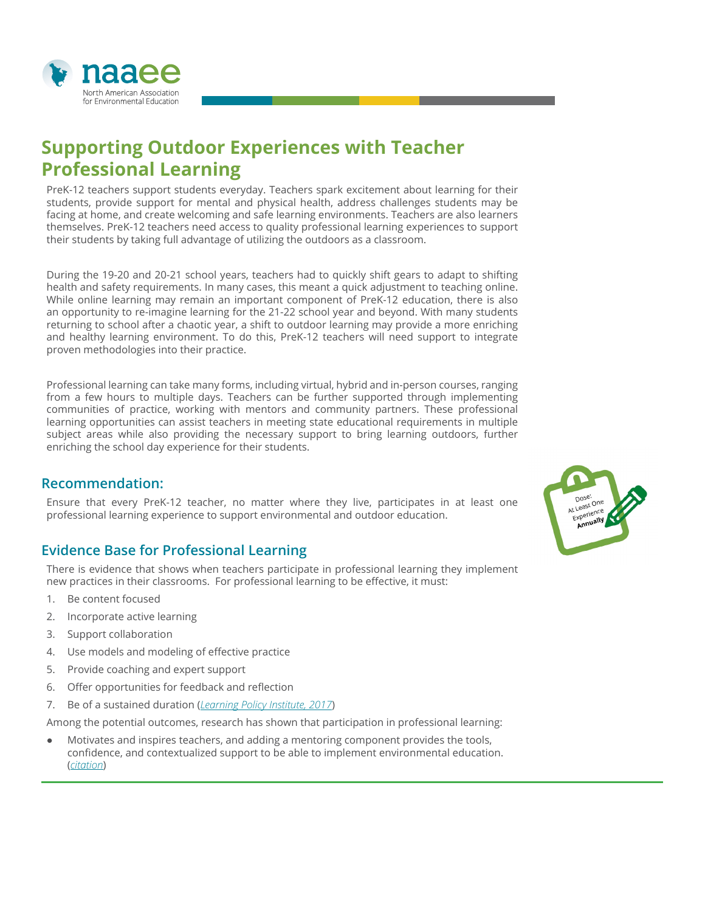

# **Supporting Outdoor Experiences with Teacher Professional Learning**

PreK-12 teachers support students everyday. Teachers spark excitement about learning for their students, provide support for mental and physical health, address challenges students may be facing at home, and create welcoming and safe learning environments. Teachers are also learners themselves. PreK-12 teachers need access to quality professional learning experiences to support their students by taking full advantage of utilizing the outdoors as a classroom.

During the 19-20 and 20-21 school years, teachers had to quickly shift gears to adapt to shifting health and safety requirements. In many cases, this meant a quick adjustment to teaching online. While online learning may remain an important component of PreK-12 education, there is also an opportunity to re-imagine learning for the 21-22 school year and beyond. With many students returning to school after a chaotic year, a shift to outdoor learning may provide a more enriching and healthy learning environment. To do this, PreK-12 teachers will need support to integrate proven methodologies into their practice.

Professional learning can take many forms, including virtual, hybrid and in-person courses, ranging from a few hours to multiple days. Teachers can be further supported through implementing communities of practice, working with mentors and community partners. These professional learning opportunities can assist teachers in meeting state educational requirements in multiple subject areas while also providing the necessary support to bring learning outdoors, further enriching the school day experience for their students.

### **Recommendation:**

Ensure that every PreK-12 teacher, no matter where they live, participates in at least one professional learning experience to support environmental and outdoor education.

### **Evidence Base for Professional Learning**

There is evidence that shows when teachers participate in professional learning they implement new practices in their classrooms. For professional learning to be effective, it must:

- 1. Be content focused
- 2. Incorporate active learning
- 3. Support collaboration
- 4. Use models and modeling of effective practice
- 5. Provide coaching and expert support
- 6. Offer opportunities for feedback and reflection
- 7. Be of a sustained duration (*[Learning Policy Institute, 2017](https://learningpolicyinstitute.org/sites/default/files/product-files/Effective_Teacher_Professional_Development_BRIEF.pdf)*)

Among the potential outcomes, research has shown that participation in professional learning:

Motivates and inspires teachers, and adding a mentoring component provides the tools, confidence, and contextualized support to be able to implement environmental education. (*[citation](https://naaee.org/eepro/research/library/environmental-education-professional?combine=professional%20learning&field_eeresearch_education_tid=All&field_eeresearch_conservation_tid=All&field_eeresearch_human_health_tid=All&field_eeresearch_social_environm_tid=All&field_eeresearch_developmental_o_tid=All&field_eeresearch_age_tid=All&field_eeresearch_partner_target_id=All&field_research_year_date_value%5Bvalue%5D%5Byear%5D=)*)